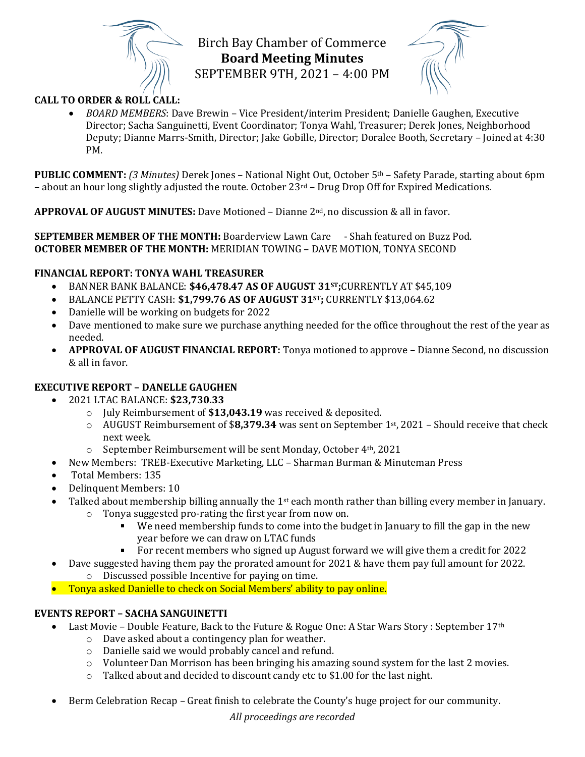

Birch Bay Chamber of Commerce **Board Meeting Minutes** SEPTEMBER 9TH, 2021 – 4:00 PM



## **CALL TO ORDER & ROLL CALL:**

• *BOARD MEMBERS*: Dave Brewin – Vice President/interim President; Danielle Gaughen, Executive Director; Sacha Sanguinetti, Event Coordinator; Tonya Wahl, Treasurer; Derek Jones, Neighborhood Deputy; Dianne Marrs-Smith, Director; Jake Gobille, Director; Doralee Booth, Secretary – Joined at 4:30 PM.

**PUBLIC COMMENT:** *(3 Minutes)* Derek Jones – National Night Out, October 5th – Safety Parade, starting about 6pm – about an hour long slightly adjusted the route. October  $23^{\text{rd}}$  – Drug Drop Off for Expired Medications.

**APPROVAL OF AUGUST MINUTES:** Dave Motioned – Dianne 2nd, no discussion & all in favor.

**SEPTEMBER MEMBER OF THE MONTH:** Boarderview Lawn Care - Shah featured on Buzz Pod. **OCTOBER MEMBER OF THE MONTH:** MERIDIAN TOWING – DAVE MOTION, TONYA SECOND

## **FINANCIAL REPORT: TONYA WAHL TREASURER**

- BANNER BANK BALANCE: **\$46,478.47 AS OF AUGUST 31ST;**CURRENTLY AT \$45,109
- BALANCE PETTY CASH: **\$1,799.76 AS OF AUGUST 31ST;** CURRENTLY \$13,064.62
- Danielle will be working on budgets for 2022
- Dave mentioned to make sure we purchase anything needed for the office throughout the rest of the year as needed.
- **APPROVAL OF AUGUST FINANCIAL REPORT:** Tonya motioned to approve Dianne Second, no discussion & all in favor.

## **EXECUTIVE REPORT – DANELLE GAUGHEN**

- 2021 LTAC BALANCE: **\$23,730.33**
	- o July Reimbursement of **\$13,043.19** was received & deposited.
	- o AUGUST Reimbursement of \$**8,379.34** was sent on September 1st, 2021 Should receive that check next week.
	- o September Reimbursement will be sent Monday, October 4th, 2021
- New Members: TREB-Executive Marketing, LLC Sharman Burman & Minuteman Press
- Total Members: 135
- Delinquent Members: 10
- Talked about membership billing annually the  $1st$  each month rather than billing every member in January.
	- o Tonya suggested pro-rating the first year from now on.
		- We need membership funds to come into the budget in January to fill the gap in the new year before we can draw on LTAC funds
		- For recent members who signed up August forward we will give them a credit for 2022
- Dave suggested having them pay the prorated amount for 2021 & have them pay full amount for 2022. o Discussed possible Incentive for paying on time.
- Tonya asked Danielle to check on Social Members' ability to pay online.

#### **EVENTS REPORT – SACHA SANGUINETTI**

- Last Movie Double Feature, Back to the Future & Rogue One: A Star Wars Story : September 17<sup>th</sup>
	- o Dave asked about a contingency plan for weather.
	- o Danielle said we would probably cancel and refund.
	- $\circ$  Volunteer Dan Morrison has been bringing his amazing sound system for the last 2 movies.
	- o Talked about and decided to discount candy etc to \$1.00 for the last night.
- Berm Celebration Recap Great finish to celebrate the County's huge project for our community.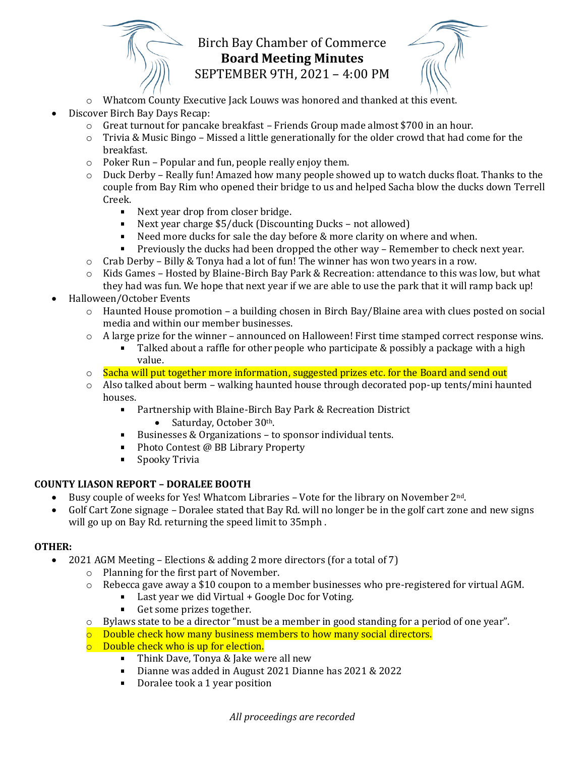

# Birch Bay Chamber of Commerce **Board Meeting Minutes** SEPTEMBER 9TH, 2021 – 4:00 PM

- o Whatcom County Executive Jack Louws was honored and thanked at this event.
- Discover Birch Bay Days Recap:
	- $\circ$  Great turnout for pancake breakfast Friends Group made almost \$700 in an hour.
	- $\circ$  Trivia & Music Bingo Missed a little generationally for the older crowd that had come for the breakfast.
	- o Poker Run Popular and fun, people really enjoy them.
	- $\circ$  Duck Derby Really fun! Amazed how many people showed up to watch ducks float. Thanks to the couple from Bay Rim who opened their bridge to us and helped Sacha blow the ducks down Terrell Creek.
		- Next year drop from closer bridge.
		- Next year charge \$5/duck (Discounting Ducks not allowed)
		- Need more ducks for sale the day before & more clarity on where and when.
		- $\mathbf{r}$ Previously the ducks had been dropped the other way – Remember to check next year.
	- $\circ$  Crab Derby Billy & Tonya had a lot of fun! The winner has won two years in a row.
	- o Kids Games Hosted by Blaine-Birch Bay Park & Recreation: attendance to this was low, but what
	- they had was fun. We hope that next year if we are able to use the park that it will ramp back up! • Halloween/October Events
		- $\circ$  Haunted House promotion a building chosen in Birch Bay/Blaine area with clues posted on social media and within our member businesses.
		- $\circ$  A large prize for the winner announced on Halloween! First time stamped correct response wins.
			- Talked about a raffle for other people who participate & possibly a package with a high  $\blacksquare$ value.
		- $\circ$  Sacha will put together more information, suggested prizes etc. for the Board and send out
		- $\circ$  Also talked about berm walking haunted house through decorated pop-up tents/mini haunted houses.
			- **Partnership with Blaine-Birch Bay Park & Recreation District** • Saturday, October 30<sup>th</sup>.
			- Businesses & Organizations to sponsor individual tents.  $\mathbf{r}$
			- $\blacksquare$ Photo Contest @ BB Library Property
			- $\blacksquare$ Spooky Trivia

# **COUNTY LIASON REPORT – DORALEE BOOTH**

- Busy couple of weeks for Yes! Whatcom Libraries Vote for the library on November 2<sup>nd</sup>.
- Golf Cart Zone signage Doralee stated that Bay Rd. will no longer be in the golf cart zone and new signs will go up on Bay Rd. returning the speed limit to 35mph .

# **OTHER:**

- 2021 AGM Meeting Elections & adding 2 more directors (for a total of 7)
	- o Planning for the first part of November.
	- $\circ$  Rebecca gave away a \$10 coupon to a member businesses who pre-registered for virtual AGM.
		- Last year we did Virtual + Google Doc for Voting.
		- $\mathbf{r}$ Get some prizes together.
	- o Bylaws state to be a director "must be a member in good standing for a period of one year".
	- $\circ$  Double check how many business members to how many social directors.
	- o Double check who is up for election.
		- **Think Dave, Tonya & Jake were all new**
		- $\blacksquare$ Dianne was added in August 2021 Dianne has 2021 & 2022
		- Doralee took a 1 year position $\mathbf{r}$